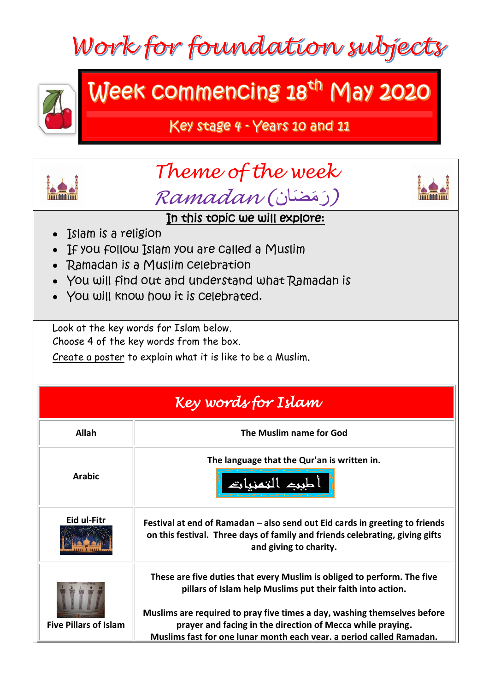



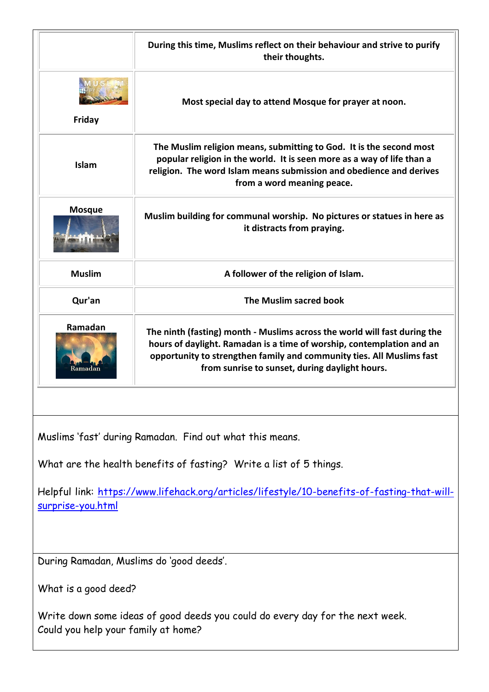|                                                                                                                      | During this time, Muslims reflect on their behaviour and strive to purify<br>their thoughts.                                                                                                                                                                                  |
|----------------------------------------------------------------------------------------------------------------------|-------------------------------------------------------------------------------------------------------------------------------------------------------------------------------------------------------------------------------------------------------------------------------|
| Friday                                                                                                               | Most special day to attend Mosque for prayer at noon.                                                                                                                                                                                                                         |
| Islam                                                                                                                | The Muslim religion means, submitting to God. It is the second most<br>popular religion in the world. It is seen more as a way of life than a<br>religion. The word Islam means submission and obedience and derives<br>from a word meaning peace.                            |
| <b>Mosque</b>                                                                                                        | Muslim building for communal worship. No pictures or statues in here as<br>it distracts from praying.                                                                                                                                                                         |
| <b>Muslim</b>                                                                                                        | A follower of the religion of Islam.                                                                                                                                                                                                                                          |
| Qur'an                                                                                                               | The Muslim sacred book                                                                                                                                                                                                                                                        |
| Ramadan<br>Ramadan                                                                                                   | The ninth (fasting) month - Muslims across the world will fast during the<br>hours of daylight. Ramadan is a time of worship, contemplation and an<br>opportunity to strengthen family and community ties. All Muslims fast<br>from sunrise to sunset, during daylight hours. |
|                                                                                                                      |                                                                                                                                                                                                                                                                               |
|                                                                                                                      | Muslims 'fast' during Ramadan. Find out what this means.                                                                                                                                                                                                                      |
| What are the health benefits of fasting? Write a list of 5 things.                                                   |                                                                                                                                                                                                                                                                               |
| Helpful link: https://www.lifehack.org/articles/lifestyle/10-benefits-of-fasting-that-will-<br>surprise-you.html     |                                                                                                                                                                                                                                                                               |
| During Ramadan, Muslims do 'good deeds'.                                                                             |                                                                                                                                                                                                                                                                               |
| What is a good deed?                                                                                                 |                                                                                                                                                                                                                                                                               |
|                                                                                                                      |                                                                                                                                                                                                                                                                               |
| Write down some ideas of good deeds you could do every day for the next week.<br>Could you help your family at home? |                                                                                                                                                                                                                                                                               |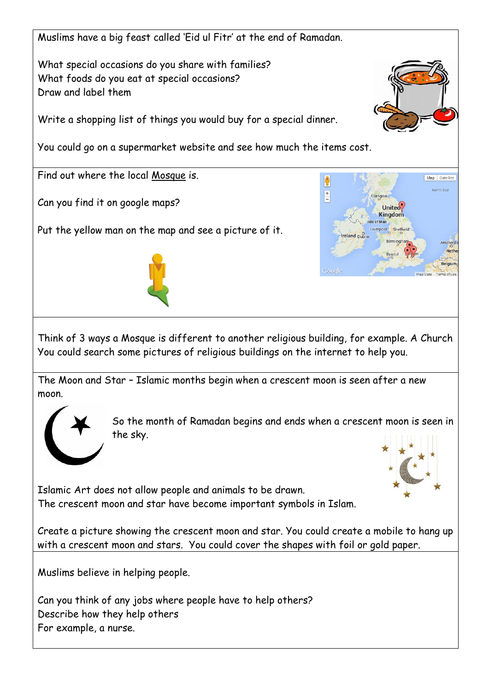Muslims have a big feast called 'Eid ul Fitr' at the end of Ramadan.

What special occasions do you share with families? What foods do you eat at special occasions? Draw and label them

Write a shopping list of things you would buy for a special dinner.

You could go on a supermarket website and see how much the items cost.

Find out where the local Mosque is.

Can you find it on google maps?

Put the yellow man on the map and see a picture of it.





Think of 3 ways a Mosque is different to another religious building, for example. A Church You could search some pictures of religious buildings on the internet to help you.

The Moon and Star – Islamic months begin when a crescent moon is seen after a new moon.



So the month of Ramadan begins and ends when a crescent moon is seen in the sky.



Islamic Art does not allow people and animals to be drawn. The crescent moon and star have become important symbols in Islam.

Create a picture showing the crescent moon and star. You could create a mobile to hang up with a crescent moon and stars. You could cover the shapes with foil or gold paper.

Muslims believe in helping people.

Can you think of any jobs where people have to help others? Describe how they help others For example, a nurse.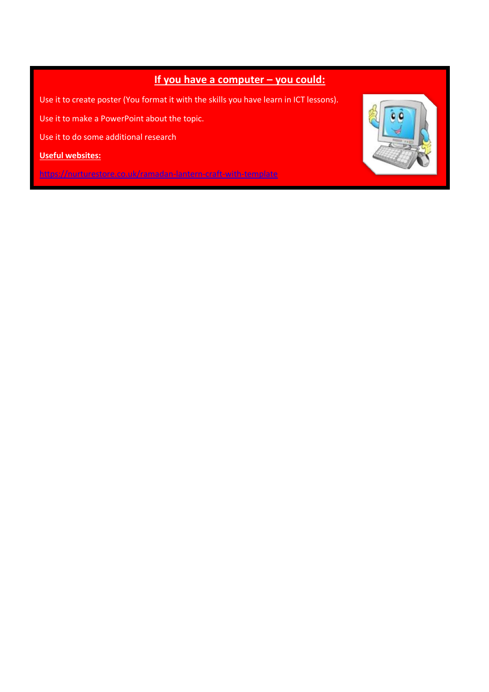## **If you have a computer – you could:**

Use it to create poster (You format it with the skills you have learn in ICT lessons).

Use it to make a PowerPoint about the topic.

<https://www.bbc.co.uk/newsround/23286976>

Use it to do some additional research

**Useful websites:** 

<https://nurturestore.co.uk/ramadan-lantern-craft-with-template>